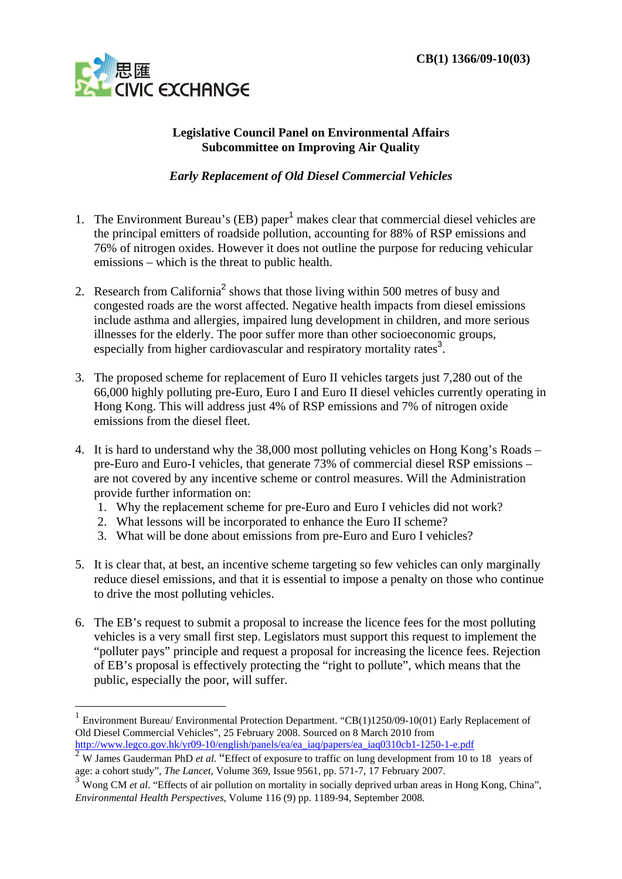

<u>.</u>

## **Legislative Council Panel on Environmental Affairs Subcommittee on Improving Air Quality**

## *Early Replacement of Old Diesel Commercial Vehicles*

- 1. The Environment Bureau's (EB) paper<sup>1</sup> makes clear that commercial diesel vehicles are the principal emitters of roadside pollution, accounting for 88% of RSP emissions and 76% of nitrogen oxides. However it does not outline the purpose for reducing vehicular emissions – which is the threat to public health.
- 2. Research from California<sup>2</sup> shows that those living within 500 metres of busy and congested roads are the worst affected. Negative health impacts from diesel emissions include asthma and allergies, impaired lung development in children, and more serious illnesses for the elderly. The poor suffer more than other socioeconomic groups, especially from higher cardiovascular and respiratory mortality rates<sup>3</sup>.
- 3. The proposed scheme for replacement of Euro II vehicles targets just 7,280 out of the 66,000 highly polluting pre-Euro, Euro I and Euro II diesel vehicles currently operating in Hong Kong. This will address just 4% of RSP emissions and 7% of nitrogen oxide emissions from the diesel fleet.
- 4. It is hard to understand why the 38,000 most polluting vehicles on Hong Kong's Roads pre-Euro and Euro-I vehicles, that generate 73% of commercial diesel RSP emissions – are not covered by any incentive scheme or control measures. Will the Administration provide further information on:
	- 1. Why the replacement scheme for pre-Euro and Euro I vehicles did not work?
	- 2. What lessons will be incorporated to enhance the Euro II scheme?
	- 3. What will be done about emissions from pre-Euro and Euro I vehicles?
- 5. It is clear that, at best, an incentive scheme targeting so few vehicles can only marginally reduce diesel emissions, and that it is essential to impose a penalty on those who continue to drive the most polluting vehicles.
- 6. The EB's request to submit a proposal to increase the licence fees for the most polluting vehicles is a very small first step. Legislators must support this request to implement the "polluter pays" principle and request a proposal for increasing the licence fees. Rejection of EB's proposal is effectively protecting the "right to pollute", which means that the public, especially the poor, will suffer.

<sup>1</sup> Environment Bureau/ Environmental Protection Department. "CB(1)1250/09-10(01) Early Replacement of Old Diesel Commercial Vehicles", 25 February 2008. Sourced on 8 March 2010 from http://www.legco.gov.hk/yr09-10/english/panels/ea/ea\_iaq/papers/ea\_iaq0310cb1-1250-1-e.pdf

<sup>2</sup> W James Gauderman PhD *et al.* "Effect of exposure to traffic on lung development from 10 to 18 years of age: a cohort study", *The Lancet*, Volume 369, Issue 9561, pp. 571-7, 17 February 2007.

<sup>&</sup>lt;sup>3</sup> Wong CM *et al.* "Effects of air pollution on mortality in socially deprived urban areas in Hong Kong, China", *Environmental Health Perspectives*, Volume 116 (9) pp. 1189-94, September 2008.